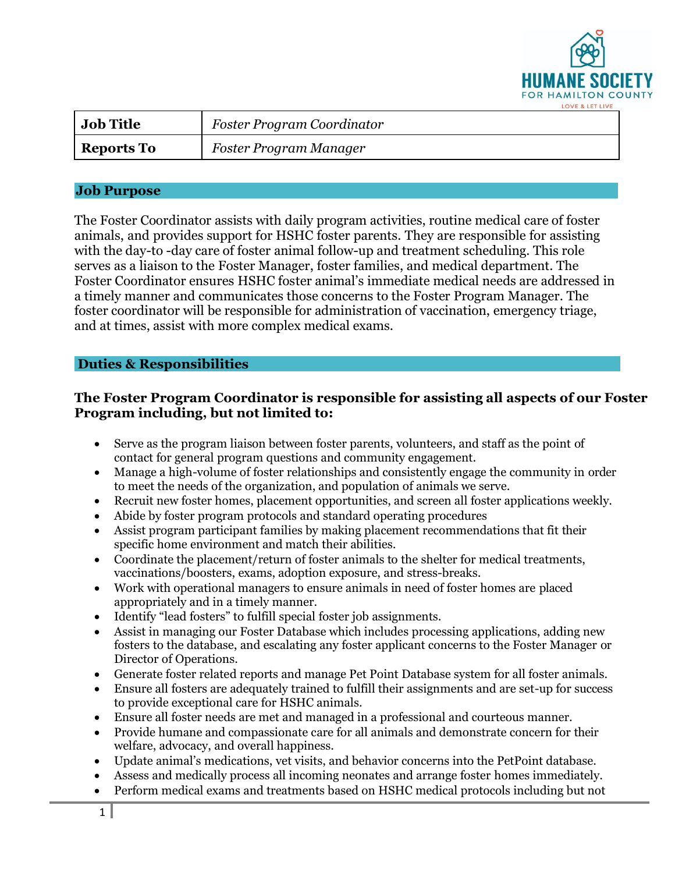

| <b>Job Title</b>  | Foster Program Coordinator |
|-------------------|----------------------------|
| <b>Reports To</b> | Foster Program Manager     |

## **Job Purpose**

The Foster Coordinator assists with daily program activities, routine medical care of foster animals, and provides support for HSHC foster parents. They are responsible for assisting with the day-to -day care of foster animal follow-up and treatment scheduling. This role serves as a liaison to the Foster Manager, foster families, and medical department. The Foster Coordinator ensures HSHC foster animal's immediate medical needs are addressed in a timely manner and communicates those concerns to the Foster Program Manager. The foster coordinator will be responsible for administration of vaccination, emergency triage, and at times, assist with more complex medical exams.

## **Duties & Responsibilities**

## **The Foster Program Coordinator is responsible for assisting all aspects of our Foster Program including, but not limited to:**

- Serve as the program liaison between foster parents, volunteers, and staff as the point of contact for general program questions and community engagement.
- Manage a high-volume of foster relationships and consistently engage the community in order to meet the needs of the organization, and population of animals we serve.
- Recruit new foster homes, placement opportunities, and screen all foster applications weekly.
- Abide by foster program protocols and standard operating procedures
- Assist program participant families by making placement recommendations that fit their specific home environment and match their abilities.
- Coordinate the placement/return of foster animals to the shelter for medical treatments, vaccinations/boosters, exams, adoption exposure, and stress-breaks.
- Work with operational managers to ensure animals in need of foster homes are placed appropriately and in a timely manner.
- Identify "lead fosters" to fulfill special foster job assignments.
- Assist in managing our Foster Database which includes processing applications, adding new fosters to the database, and escalating any foster applicant concerns to the Foster Manager or Director of Operations.
- Generate foster related reports and manage Pet Point Database system for all foster animals.
- Ensure all fosters are adequately trained to fulfill their assignments and are set-up for success to provide exceptional care for HSHC animals.
- Ensure all foster needs are met and managed in a professional and courteous manner.
- Provide humane and compassionate care for all animals and demonstrate concern for their welfare, advocacy, and overall happiness.
- Update animal's medications, vet visits, and behavior concerns into the PetPoint database.
- Assess and medically process all incoming neonates and arrange foster homes immediately.
- Perform medical exams and treatments based on HSHC medical protocols including but not